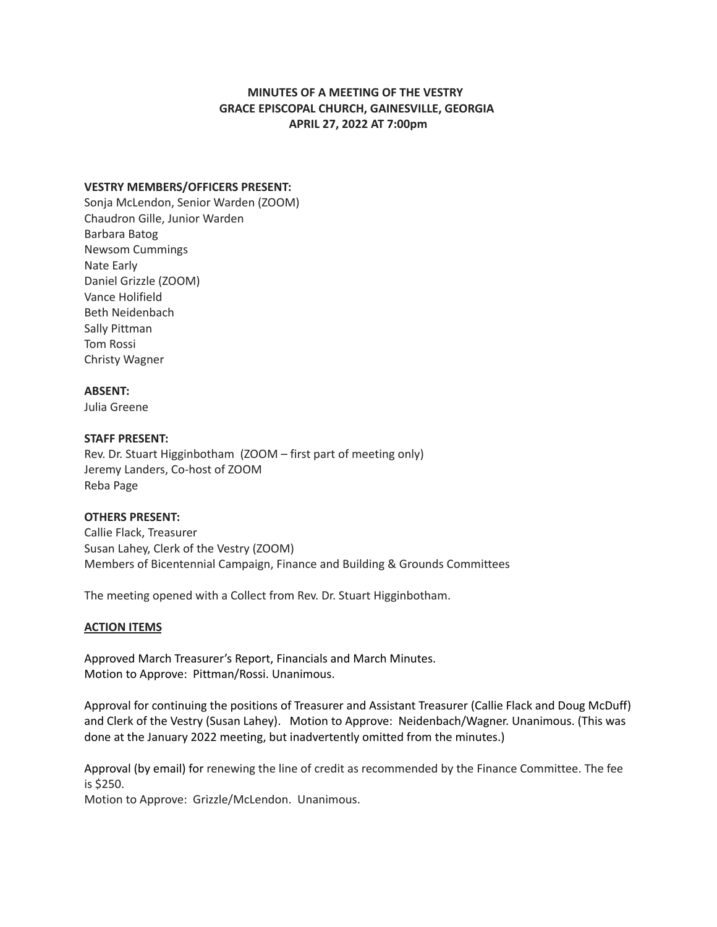# **MINUTES OF A MEETING OF THE VESTRY GRACE EPISCOPAL CHURCH, GAINESVILLE, GEORGIA APRIL 27, 2022 AT 7:00pm**

### **VESTRY MEMBERS/OFFICERS PRESENT:**

Sonja McLendon, Senior Warden (ZOOM) Chaudron Gille, Junior Warden Barbara Batog Newsom Cummings Nate Early Daniel Grizzle (ZOOM) Vance Holifield Beth Neidenbach Sally Pittman Tom Rossi Christy Wagner

#### **ABSENT:**

Julia Greene

#### **STAFF PRESENT:**

Rev. Dr. Stuart Higginbotham (ZOOM – first part of meeting only) Jeremy Landers, Co-host of ZOOM Reba Page

#### **OTHERS PRESENT:**

Callie Flack, Treasurer Susan Lahey, Clerk of the Vestry (ZOOM) Members of Bicentennial Campaign, Finance and Building & Grounds Committees

The meeting opened with a Collect from Rev. Dr. Stuart Higginbotham.

## **ACTION ITEMS**

Approved March Treasurer's Report, Financials and March Minutes. Motion to Approve: Pittman/Rossi. Unanimous.

Approval for continuing the positions of Treasurer and Assistant Treasurer (Callie Flack and Doug McDuff) and Clerk of the Vestry (Susan Lahey). Motion to Approve: Neidenbach/Wagner. Unanimous. (This was done at the January 2022 meeting, but inadvertently omitted from the minutes.)

Approval (by email) for renewing the line of credit as recommended by the Finance Committee. The fee is \$250.

Motion to Approve: Grizzle/McLendon. Unanimous.